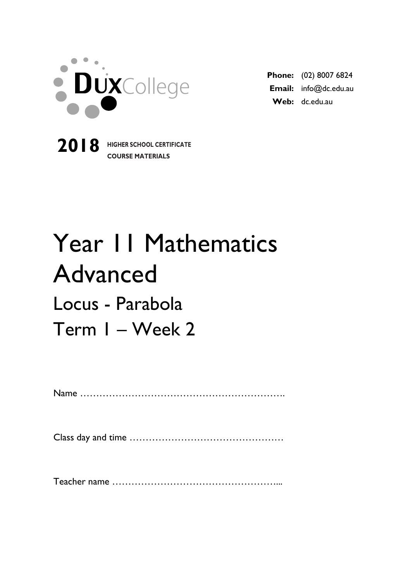

**2018 HIGHER SCHOOL CERTIFICATE**

**COURSE MATERIALS**

**Phone:** (02) 8007 6824 **Email:** info@dc.edu.au **Web:** dc.edu.au

# Year 11 Mathematics Advanced Locus - Parabola Term 1 – Week 2

Name ……………………………………………………….

Class day and time …………………………………………

Teacher name ……………………………………………...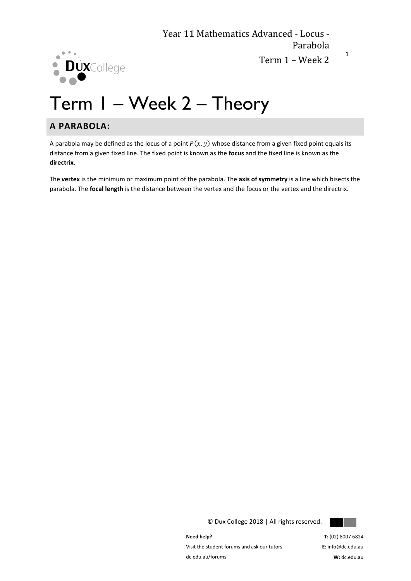

1

## Term 1 – Week 2 – Theory

### **A PARABOLA:**

A parabola may be defined as the locus of a point  $P(x, y)$  whose distance from a given fixed point equals its distance from a given fixed line. The fixed point is known as the **focus** and the fixed line is known as the **directrix**.

The **vertex** is the minimum or maximum point of the parabola. The **axis of symmetry** is a line which bisects the parabola. The **focal length** is the distance between the vertex and the focus or the vertex and the directrix.

© Dux College 2018 | All rights reserved.



**Need help?** 

Visit the student forums and ask our tutors. dc.edu.au/forums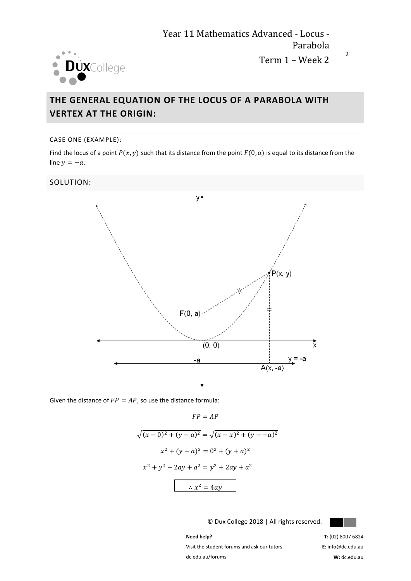

## **THE GENERAL EQUATION OF THE LOCUS OF A PARABOLA WITH VERTEX AT THE ORIGIN:**

#### CASE ONE (EXAMPLE):

Find the locus of a point  $P(x, y)$  such that its distance from the point  $F(0, a)$  is equal to its distance from the line  $y = -a$ .

#### SOLUTION:



Given the distance of  $FP = AP$ , so use the distance formula:

 $FP = AP$ 

$$
\sqrt{(x-0)^2 + (y-a)^2} = \sqrt{(x-x)^2 + (y-a)^2}
$$

$$
x^2 + (y-a)^2 = 0^2 + (y+a)^2
$$

$$
x^2 + y^2 - 2ay + a^2 = y^2 + 2ay + a^2
$$

$$
\therefore x^2 = 4ay
$$

© Dux College 2018 | All rights reserved.



**Need help?** 

Visit the student forums and ask our tutors. dc.edu.au/forums

**T:** (02) 8007 6824 **E:** info@dc.edu.au **W:** dc.edu.au

2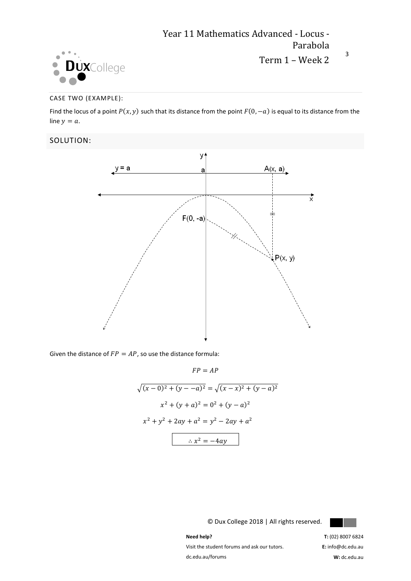

Term 1 – Week 2

3

#### CASE TWO (EXAMPLE):

Find the locus of a point  $P(x, y)$  such that its distance from the point  $F(0, -a)$  is equal to its distance from the line  $y = a$ .

#### SOLUTION:



Given the distance of  $FP = AP$ , so use the distance formula:

$$
FP = AP
$$
  

$$
\sqrt{(x - 0)^2 + (y - -a)^2} = \sqrt{(x - x)^2 + (y - a)^2}
$$
  

$$
x^2 + (y + a)^2 = 0^2 + (y - a)^2
$$
  

$$
x^2 + y^2 + 2ay + a^2 = y^2 - 2ay + a^2
$$
  

$$
\therefore x^2 = -4ay
$$

© Dux College 2018 | All rights reserved.



**Need help?** 

Visit the student forums and ask our tutors. dc.edu.au/forums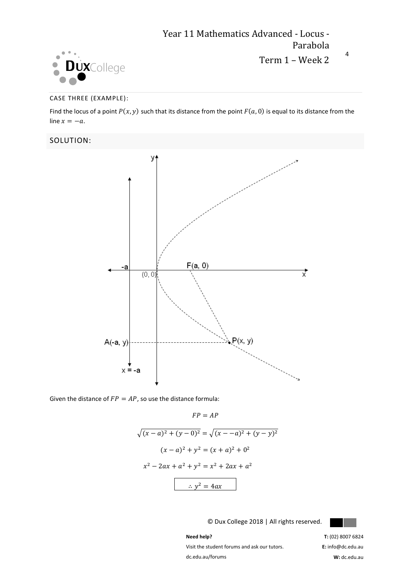

Term 1 – Week 2

4

#### CASE THREE (EXAMPLE):

Find the locus of a point  $P(x, y)$  such that its distance from the point  $F(a, 0)$  is equal to its distance from the line  $x = -a$ .

#### SOLUTION:



Given the distance of  $FP = AP$ , so use the distance formula:

$$
FP = AP
$$
  
\n
$$
\sqrt{(x-a)^2 + (y-0)^2} = \sqrt{(x-a)^2 + (y-y)^2}
$$
  
\n
$$
(x-a)^2 + y^2 = (x+a)^2 + 0^2
$$
  
\n
$$
x^2 - 2ax + a^2 + y^2 = x^2 + 2ax + a^2
$$
  
\n
$$
\therefore y^2 = 4ax
$$

 $\overline{1}$ 

© Dux College 2018 | All rights reserved.



**Need help?** 

Visit the student forums and ask our tutors. dc.edu.au/forums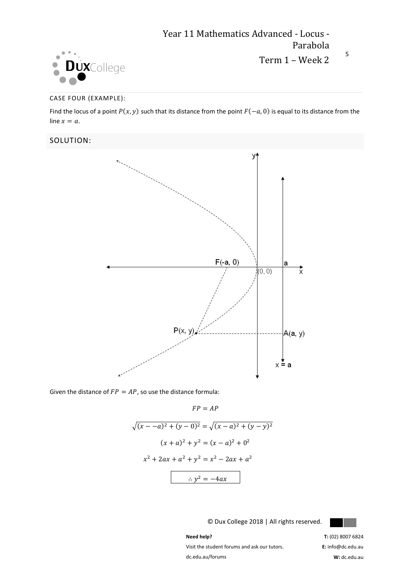

Term 1 – Week 2

5

#### CASE FOUR (EXAMPLE):

Find the locus of a point  $P(x, y)$  such that its distance from the point  $F(-a, 0)$  is equal to its distance from the line  $x = a$ .

#### SOLUTION:



Given the distance of  $FP = AP$ , so use the distance formula:

 $FP = AP$ 

$$
\sqrt{(x - a)^2 + (y - 0)^2} = \sqrt{(x - a)^2 + (y - y)^2}
$$

$$
(x + a)^2 + y^2 = (x - a)^2 + 0^2
$$

$$
x^2 + 2ax + a^2 + y^2 = x^2 - 2ax + a^2
$$

$$
\therefore y^2 = -4ax
$$

© Dux College 2018 | All rights reserved.



**Need help?** 

Visit the student forums and ask our tutors. dc.edu.au/forums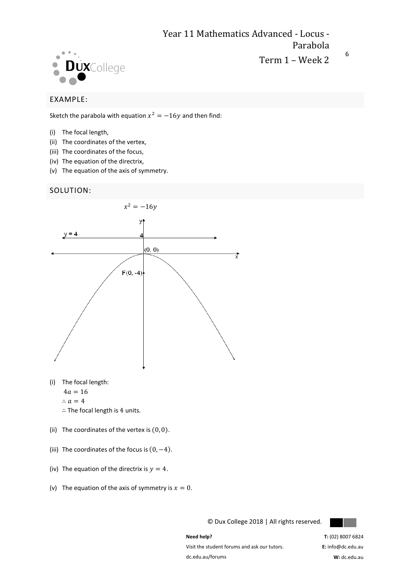

6

#### EXAMPLE:

Sketch the parabola with equation  $x^2 = -16y$  and then find:

- (i) The focal length,
- (ii) The coordinates of the vertex,
- (iii) The coordinates of the focus,
- (iv) The equation of the directrix,
- (v) The equation of the axis of symmetry.

#### SOLUTION:



- (i) The focal length:  $4a = 16$ 
	- $\therefore a = 4$
	- ∴ The focal length is 4 units.
- (ii) The coordinates of the vertex is  $(0, 0)$ .
- (iii) The coordinates of the focus is  $(0, -4)$ .
- (iv) The equation of the directrix is  $y = 4$ .
- (v) The equation of the axis of symmetry is  $x = 0$ .

© Dux College 2018 | All rights reserved.



**Need help?**  Visit the student forums and ask our tutors. dc.edu.au/forums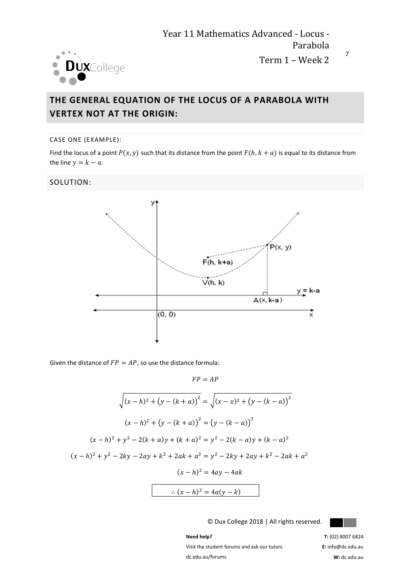

## **THE GENERAL EQUATION OF THE LOCUS OF A PARABOLA WITH VERTEX NOT AT THE ORIGIN:**

#### CASE ONE (EXAMPLE):

Find the locus of a point  $P(x, y)$  such that its distance from the point  $F(h, k + a)$  is equal to its distance from the line  $y = k - a$ .

#### SOLUTION:



Given the distance of  $FP = AP$ , so use the distance formula:

 $FP = AP$ 

$$
\sqrt{(x-h)^2 + (y - (k + a))^2} = \sqrt{(x-x)^2 + (y - (k - a))^2}
$$
  

$$
(x-h)^2 + (y - (k + a))^2 = (y - (k - a))^2
$$
  

$$
(x-h)^2 + y^2 - 2(k + a)y + (k + a)^2 = y^2 - 2(k - a)y + (k - a)^2
$$
  

$$
(x-h)^2 + y^2 - 2ky - 2ay + k^2 + 2ak + a^2 = y^2 - 2ky + 2ay + k^2 - 2ak + a^2
$$
  

$$
(x-h)^2 = 4ay - 4ak
$$
  

$$
\therefore (x-h)^2 = 4a(y-k)
$$

© Dux College 2018 | All rights reserved.



**Need help?** 

Visit the student forums and ask our tutors. dc.edu.au/forums

**T:** (02) 8007 6824 **E:** info@dc.edu.au **W:** dc.edu.au

7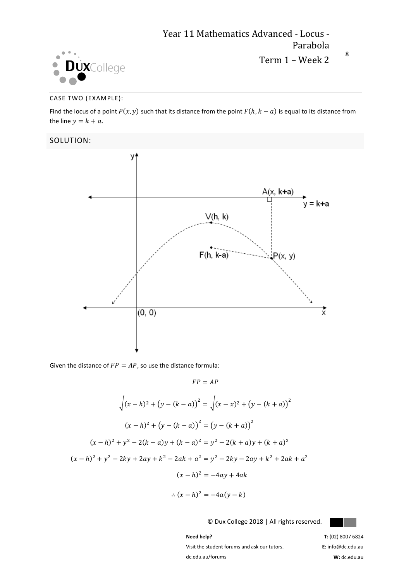

#### CASE TWO (EXAMPLE):

Find the locus of a point  $P(x, y)$  such that its distance from the point  $F(h, k - a)$  is equal to its distance from the line  $y = k + a$ .

#### SOLUTION:



Given the distance of  $FP = AP$ , so use the distance formula:

 $FP = AP$  $\sqrt{(x-h)^2 + (y-(k-a))^2} = \sqrt{(x-x)^2 + (y-(k+a))^2}$  $(x-h)^2 + (y - (k-a))^2 = (y - (k+a))^2$  $(x-h)^2 + y^2 - 2(k-a)y + (k-a)^2 = y^2 - 2(k+a)y + (k+a)^2$  $(x-h)^2 + y^2 - 2ky + 2ay + k^2 - 2ak + a^2 = y^2 - 2ky - 2ay + k^2 + 2ak + a^2$  $(x - h)^2 = -4ay + 4ak$  $\therefore$   $(x - h)^2 = -4a(y - k)$ 

© Dux College 2018 | All rights reserved.



**Need help?** 

Visit the student forums and ask our tutors. dc.edu.au/forums

**T:** (02) 8007 6824 **E:** info@dc.edu.au **W:** dc.edu.au

8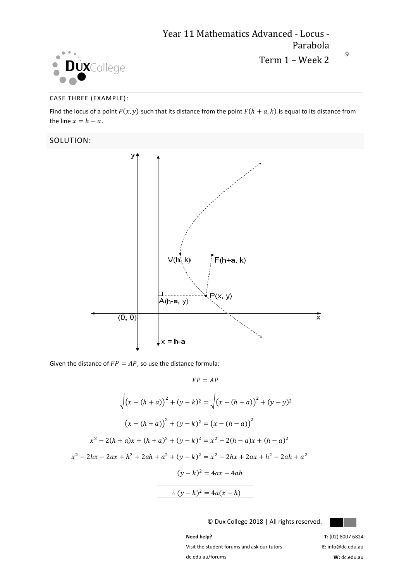

9

#### CASE THREE (EXAMPLE):

Find the locus of a point  $P(x, y)$  such that its distance from the point  $F(h + a, k)$  is equal to its distance from the line  $x = h - a$ .

SOLUTION:



Given the distance of  $FP = AP$ , so use the distance formula:

 $FP = AP$  $\sqrt{(x-(h+a))^{2}+(y-k)^{2}}=\sqrt{(x-(h-a))^{2}+(y-y)^{2}}$  $(x - (h + a))^2 + (y - k)^2 = (x - (h - a))^2$  $x^2 - 2(h+a)x + (h+a)^2 + (y-k)^2 = x^2 - 2(h-a)x + (h-a)^2$  $x^2 - 2hx - 2ax + h^2 + 2ah + a^2 + (y - k)^2 = x^2 - 2hx + 2ax + h^2 - 2ah + a^2$  $(y - k)^2 = 4ax - 4ah$ ∴  $(y - k)^2 = 4a(x - h)$ 

© Dux College 2018 | All rights reserved.



**Need help?** 

Visit the student forums and ask our tutors. dc.edu.au/forums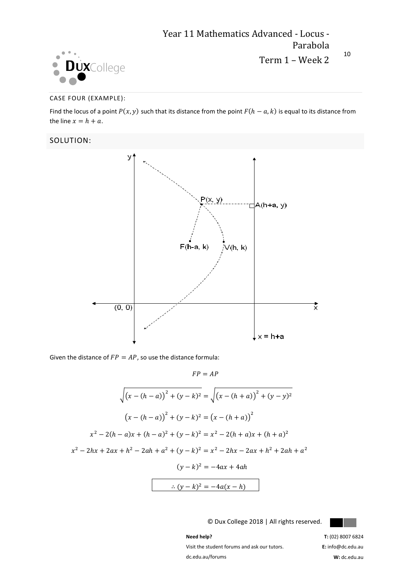

Term 1 – Week 2

10

#### CASE FOUR (EXAMPLE):

Find the locus of a point  $P(x, y)$  such that its distance from the point  $F(h - a, k)$  is equal to its distance from the line  $x = h + a$ .

SOLUTION:



Given the distance of  $FP = AP$ , so use the distance formula:

 $FP = AP$ 

$$
\sqrt{(x - (h - a))^{2} + (y - k)^{2}} = \sqrt{(x - (h + a))^{2} + (y - y)^{2}}
$$

$$
(x - (h - a))^{2} + (y - k)^{2} = (x - (h + a))^{2}
$$

$$
x^{2} - 2(h - a)x + (h - a)^{2} + (y - k)^{2} = x^{2} - 2(h + a)x + (h + a)^{2}
$$

$$
x^{2} - 2hx + 2ax + h^{2} - 2ah + a^{2} + (y - k)^{2} = x^{2} - 2hx - 2ax + h^{2} + 2ah + a^{2}
$$

$$
(y - k)^{2} = -4ax + 4ah
$$

$$
\therefore (y-k)^2 = -4a(x-h)
$$

© Dux College 2018 | All rights reserved.



**T:** (02) 8007 6824 **E:** info@dc.edu.au **W:** dc.edu.au

**Need help?** 

Visit the student forums and ask our tutors. dc.edu.au/forums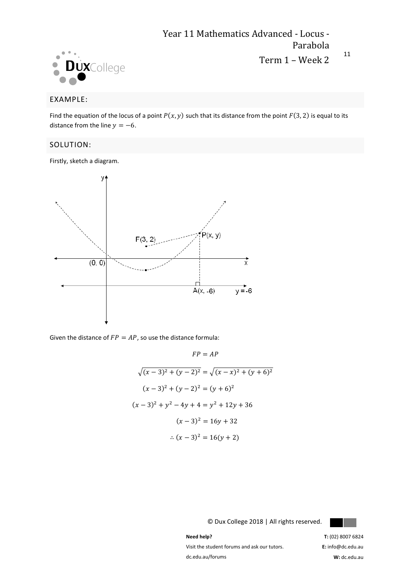

11

#### EXAMPLE:

Find the equation of the locus of a point  $P(x, y)$  such that its distance from the point  $F(3, 2)$  is equal to its distance from the line  $y = -6$ .

#### SOLUTION:

Firstly, sketch a diagram.



Given the distance of  $FP = AP$ , so use the distance formula:

$$
FP = AP
$$
  
\n
$$
\sqrt{(x-3)^2 + (y-2)^2} = \sqrt{(x-x)^2 + (y+6)^2}
$$
  
\n
$$
(x-3)^2 + (y-2)^2 = (y+6)^2
$$
  
\n
$$
(x-3)^2 + y^2 - 4y + 4 = y^2 + 12y + 36
$$
  
\n
$$
(x-3)^2 = 16y + 32
$$
  
\n
$$
\therefore (x-3)^2 = 16(y+2)
$$

© Dux College 2018 | All rights reserved.



**Need help?** 

Visit the student forums and ask our tutors. dc.edu.au/forums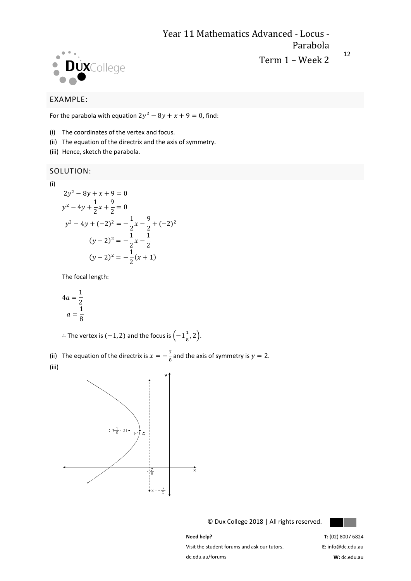

Term 1 – Week 2

12

#### EXAMPLE:

For the parabola with equation  $2y^2 - 8y + x + 9 = 0$ , find:

- (i) The coordinates of the vertex and focus.
- (ii) The equation of the directrix and the axis of symmetry.
- (iii) Hence, sketch the parabola.

#### SOLUTION:

#### (i)

$$
2y^{2} - 8y + x + 9 = 0
$$
  
\n
$$
y^{2} - 4y + \frac{1}{2}x + \frac{9}{2} = 0
$$
  
\n
$$
y^{2} - 4y + (-2)^{2} = -\frac{1}{2}x - \frac{9}{2} + (-2)^{2}
$$
  
\n
$$
(y - 2)^{2} = -\frac{1}{2}x - \frac{1}{2}
$$
  
\n
$$
(y - 2)^{2} = -\frac{1}{2}(x + 1)
$$

The focal length:

$$
4a = \frac{1}{2}
$$

$$
a = \frac{1}{8}
$$

∴ The vertex is  $(-1, 2)$  and the focus is  $\left(-1\frac{1}{\alpha}\right)$  $\frac{1}{8}$ , 2).

(ii) The equation of the directrix is  $x = -\frac{7}{8}$  $\frac{1}{8}$  and the axis of symmetry is  $y = 2$ . (iii)



© Dux College 2018 | All rights reserved.



**T:** (02) 8007 6824 **E:** info@dc.edu.au **W:** dc.edu.au

**Need help?**  Visit the student forums and ask our tutors. dc.edu.au/forums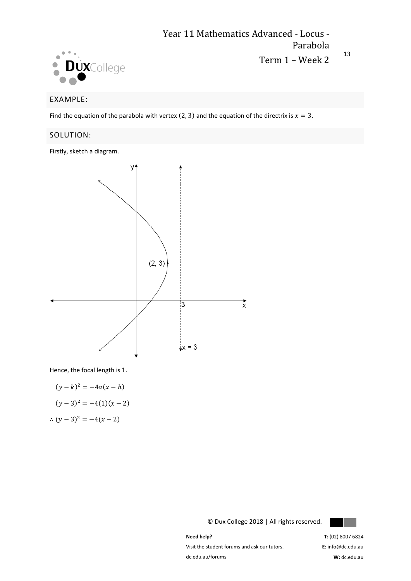

13

#### EXAMPLE:

Find the equation of the parabola with vertex (2, 3) and the equation of the directrix is  $x = 3$ .

#### SOLUTION:

Firstly, sketch a diagram.



Hence, the focal length is 1.

$$
(y - k)^2 = -4a(x - h)
$$

$$
(y - 3)^2 = -4(1)(x - 2)
$$

$$
\therefore (y - 3)^2 = -4(x - 2)
$$

© Dux College 2018 | All rights reserved.



**Need help?** 

Visit the student forums and ask our tutors. dc.edu.au/forums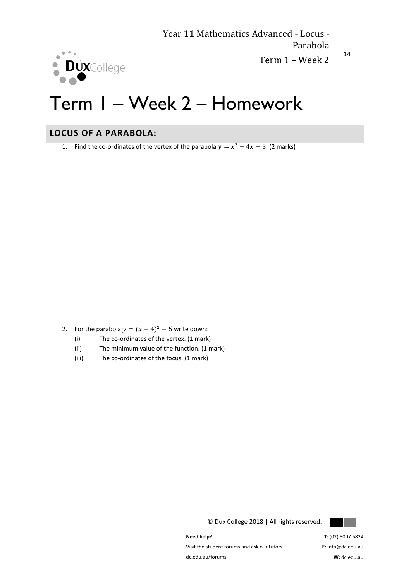

#### 14

## Term 1 – Week 2 – Homework

### **LOCUS OF A PARABOLA:**

1. Find the co-ordinates of the vertex of the parabola  $y = x^2 + 4x - 3$ . (2 marks)

- 2. For the parabola  $y = (x 4)^2 5$  write down:
	- (i) The co-ordinates of the vertex. (1 mark)
	- (ii) The minimum value of the function. (1 mark)
	- (iii) The co-ordinates of the focus. (1 mark)

© Dux College 2018 | All rights reserved.



**Need help?** 

Visit the student forums and ask our tutors. dc.edu.au/forums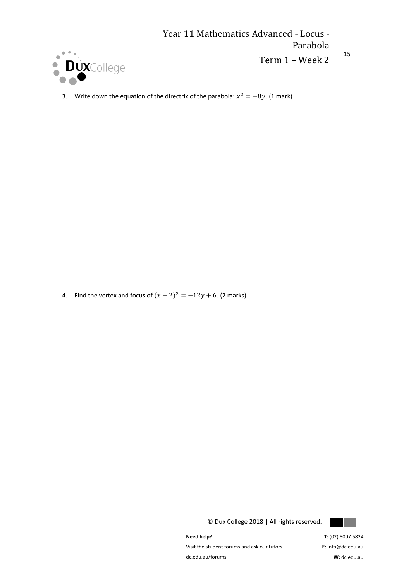



15

3. Write down the equation of the directrix of the parabola:  $x^2 = -8y$ . (1 mark)

4. Find the vertex and focus of  $(x + 2)^2 = -12y + 6$ . (2 marks)





**Need help?** 

Visit the student forums and ask our tutors. dc.edu.au/forums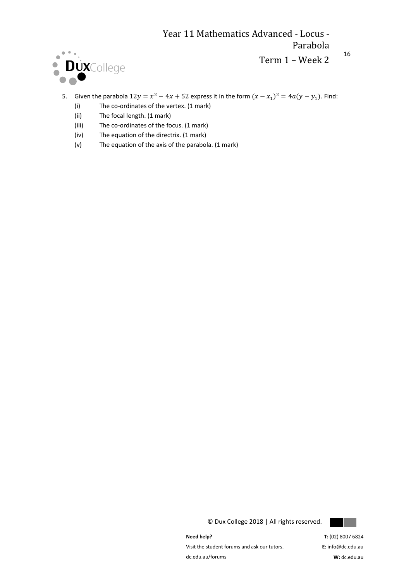

Term 1 – Week 2

16

- 5. Given the parabola  $12y = x^2 4x + 52$  express it in the form  $(x x_1)^2 = 4a(y y_1)$ . Find:
	- (i) The co-ordinates of the vertex. (1 mark)
	- (ii) The focal length. (1 mark)
	- (iii) The co-ordinates of the focus. (1 mark)
	- (iv) The equation of the directrix. (1 mark)
	- (v) The equation of the axis of the parabola. (1 mark)

© Dux College 2018 | All rights reserved.



**Need help?** 

Visit the student forums and ask our tutors. dc.edu.au/forums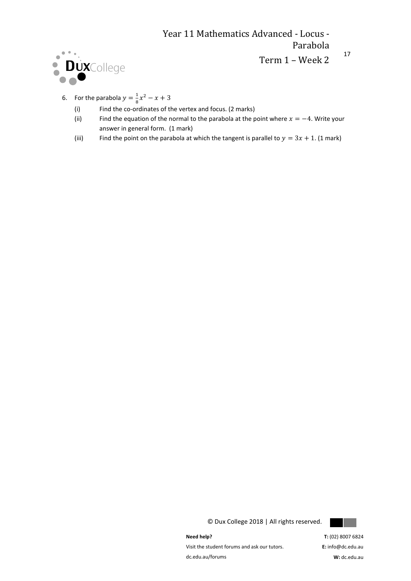

Term 1 – Week 2

17

- 6. For the parabola  $y = \frac{1}{2}$  $\frac{1}{8}x^2 - x + 3$ 
	- (i) Find the co-ordinates of the vertex and focus. (2 marks)
	- (ii) Find the equation of the normal to the parabola at the point where  $x = -4$ . Write your answer in general form. (1 mark)
	- (iii) Find the point on the parabola at which the tangent is parallel to  $y = 3x + 1$ . (1 mark)

© Dux College 2018 | All rights reserved.



**Need help?** 

Visit the student forums and ask our tutors. dc.edu.au/forums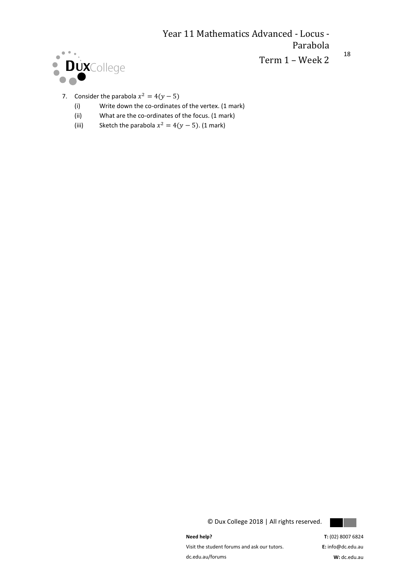

Term 1 – Week 2

18

- 7. Consider the parabola  $x^2 = 4(y 5)$ 
	- (i) Write down the co-ordinates of the vertex. (1 mark)
	- (ii) What are the co-ordinates of the focus. (1 mark)
	- (iii) Sketch the parabola  $x^2 = 4(y 5)$ . (1 mark)

© Dux College 2018 | All rights reserved.



**Need help?** 

Visit the student forums and ask our tutors. dc.edu.au/forums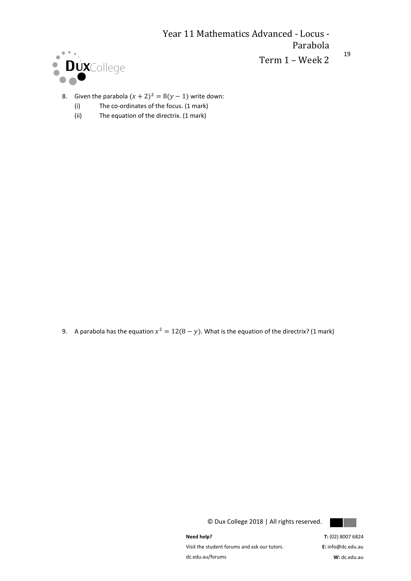

Term 1 – Week 2

19

- 8. Given the parabola  $(x + 2)^2 = 8(y 1)$  write down:
	- (i) The co-ordinates of the focus. (1 mark)
	- (ii) The equation of the directrix. (1 mark)

9. A parabola has the equation  $x^2 = 12(8 - y)$ . What is the equation of the directrix? (1 mark)



© Dux College 2018 | All rights reserved.

**Need help?**  Visit the student forums and ask our tutors. dc.edu.au/forums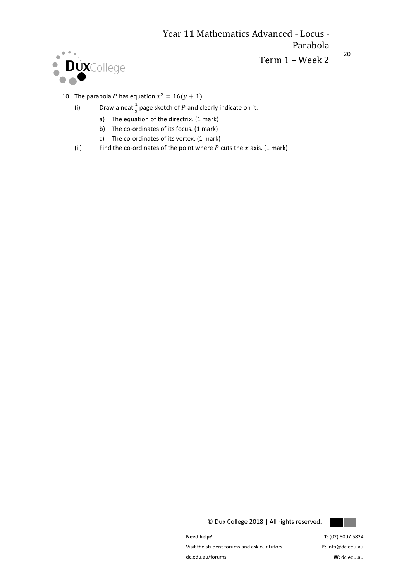

Term 1 – Week 2

20

- 10. The parabola P has equation  $x^2 = 16(y + 1)$ 
	- (i) Draw a neat  $\frac{1}{3}$  page sketch of P and clearly indicate on it:
		- a) The equation of the directrix. (1 mark)
		- b) The co-ordinates of its focus. (1 mark)
		- c) The co-ordinates of its vertex. (1 mark)
	- (ii) Find the co-ordinates of the point where P cuts the  $x$  axis. (1 mark)

© Dux College 2018 | All rights reserved.



**Need help?** 

Visit the student forums and ask our tutors. dc.edu.au/forums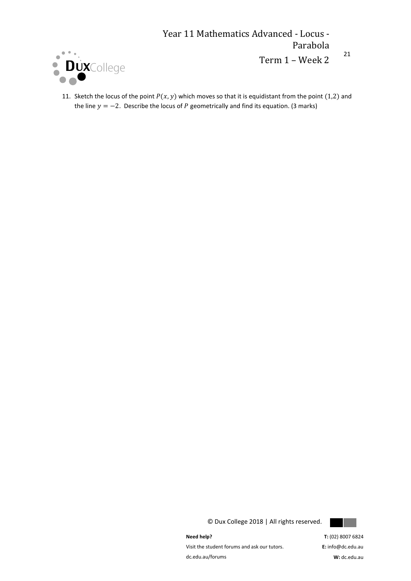

Term 1 – Week 2

21

11. Sketch the locus of the point  $P(x, y)$  which moves so that it is equidistant from the point (1,2) and the line  $y = -2$ . Describe the locus of P geometrically and find its equation. (3 marks)

© Dux College 2018 | All rights reserved.



**Need help?** 

Visit the student forums and ask our tutors. dc.edu.au/forums